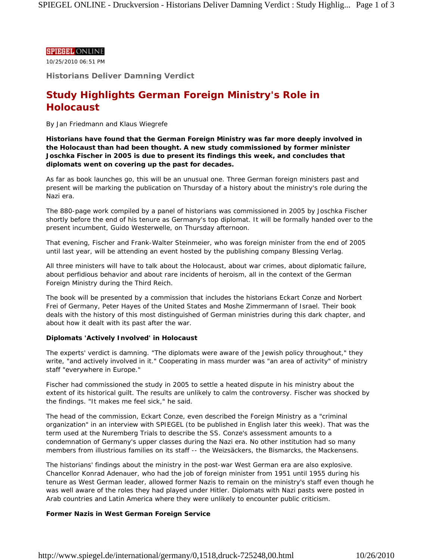## **SPIEGEL ONLINE**

10/25/2010 06:51 PM

**Historians Deliver Damning Verdict** 

# **Study Highlights German Foreign Ministry's Role in Holocaust**

### *By Jan Friedmann and Klaus Wiegrefe*

**Historians have found that the German Foreign Ministry was far more deeply involved in the Holocaust than had been thought. A new study commissioned by former minister Joschka Fischer in 2005 is due to present its findings this week, and concludes that diplomats went on covering up the past for decades.** 

As far as book launches go, this will be an unusual one. Three German foreign ministers past and present will be marking the publication on Thursday of a history about the ministry's role during the Nazi era.

The 880-page work compiled by a panel of historians was commissioned in 2005 by Joschka Fischer shortly before the end of his tenure as Germany's top diplomat. It will be formally handed over to the present incumbent, Guido Westerwelle, on Thursday afternoon.

That evening, Fischer and Frank-Walter Steinmeier, who was foreign minister from the end of 2005 until last year, will be attending an event hosted by the publishing company Blessing Verlag.

All three ministers will have to talk about the Holocaust, about war crimes, about diplomatic failure, about perfidious behavior and about rare incidents of heroism, all in the context of the German Foreign Ministry during the Third Reich.

The book will be presented by a commission that includes the historians Eckart Conze and Norbert Frei of Germany, Peter Hayes of the United States and Moshe Zimmermann of Israel. Their book deals with the history of this most distinguished of German ministries during this dark chapter, and about how it dealt with its past after the war.

# **Diplomats 'Actively Involved' in Holocaust**

The experts' verdict is damning. "The diplomats were aware of the Jewish policy throughout," they write, "and actively involved in it." Cooperating in mass murder was "an area of activity" of ministry staff "everywhere in Europe."

Fischer had commissioned the study in 2005 to settle a heated dispute in his ministry about the extent of its historical guilt. The results are unlikely to calm the controversy. Fischer was shocked by the findings. "It makes me feel sick," he said.

The head of the commission, Eckart Conze, even described the Foreign Ministry as a "criminal organization" in an interview with SPIEGEL (to be published in English later this week). That was the term used at the Nuremberg Trials to describe the SS. Conze's assessment amounts to a condemnation of Germany's upper classes during the Nazi era. No other institution had so many members from illustrious families on its staff -- the Weizsäckers, the Bismarcks, the Mackensens.

The historians' findings about the ministry in the post-war West German era are also explosive. Chancellor Konrad Adenauer, who had the job of foreign minister from 1951 until 1955 during his tenure as West German leader, allowed former Nazis to remain on the ministry's staff even though he was well aware of the roles they had played under Hitler. Diplomats with Nazi pasts were posted in Arab countries and Latin America where they were unlikely to encounter public criticism.

# **Former Nazis in West German Foreign Service**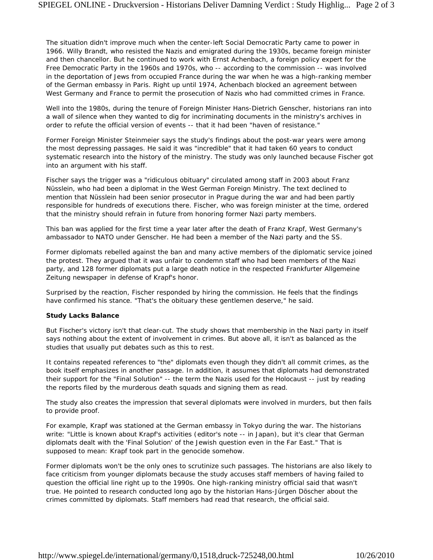The situation didn't improve much when the center-left Social Democratic Party came to power in 1966. Willy Brandt, who resisted the Nazis and emigrated during the 1930s, became foreign minister and then chancellor. But he continued to work with Ernst Achenbach, a foreign policy expert for the Free Democratic Party in the 1960s and 1970s, who -- according to the commission -- was involved in the deportation of Jews from occupied France during the war when he was a high-ranking member of the German embassy in Paris. Right up until 1974, Achenbach blocked an agreement between West Germany and France to permit the prosecution of Nazis who had committed crimes in France.

Well into the 1980s, during the tenure of Foreign Minister Hans-Dietrich Genscher, historians ran into a wall of silence when they wanted to dig for incriminating documents in the ministry's archives in order to refute the official version of events -- that it had been "haven of resistance."

Former Foreign Minister Steinmeier says the study's findings about the post-war years were among the most depressing passages. He said it was "incredible" that it had taken 60 years to conduct systematic research into the history of the ministry. The study was only launched because Fischer got into an argument with his staff.

Fischer says the trigger was a "ridiculous obituary" circulated among staff in 2003 about Franz Nüsslein, who had been a diplomat in the West German Foreign Ministry. The text declined to mention that Nüsslein had been senior prosecutor in Prague during the war and had been partly responsible for hundreds of executions there. Fischer, who was foreign minister at the time, ordered that the ministry should refrain in future from honoring former Nazi party members.

This ban was applied for the first time a year later after the death of Franz Krapf, West Germany's ambassador to NATO under Genscher. He had been a member of the Nazi party and the SS.

Former diplomats rebelled against the ban and many active members of the diplomatic service joined the protest. They argued that it was unfair to condemn staff who had been members of the Nazi party, and 128 former diplomats put a large death notice in the respected *Frankfurter Allgemeine Zeitung* newspaper in defense of Krapf's honor.

Surprised by the reaction, Fischer responded by hiring the commission. He feels that the findings have confirmed his stance. "That's the obituary these gentlemen deserve," he said.

#### **Study Lacks Balance**

But Fischer's victory isn't that clear-cut. The study shows that membership in the Nazi party in itself says nothing about the extent of involvement in crimes. But above all, it isn't as balanced as the studies that usually put debates such as this to rest.

It contains repeated references to "the" diplomats even though they didn't all commit crimes, as the book itself emphasizes in another passage. In addition, it assumes that diplomats had demonstrated their support for the "Final Solution" -- the term the Nazis used for the Holocaust -- just by reading the reports filed by the murderous death squads and signing them as read.

The study also creates the impression that several diplomats were involved in murders, but then fails to provide proof.

For example, Krapf was stationed at the German embassy in Tokyo during the war. The historians write: "Little is known about Krapf's activities (*editor's note -- in Japan*), but it's clear that German diplomats dealt with the 'Final Solution' of the Jewish question even in the Far East." That is supposed to mean: Krapf took part in the genocide somehow.

Former diplomats won't be the only ones to scrutinize such passages. The historians are also likely to face criticism from younger diplomats because the study accuses staff members of having failed to question the official line right up to the 1990s. One high-ranking ministry official said that wasn't true. He pointed to research conducted long ago by the historian Hans-Jürgen Döscher about the crimes committed by diplomats. Staff members had read that research, the official said.